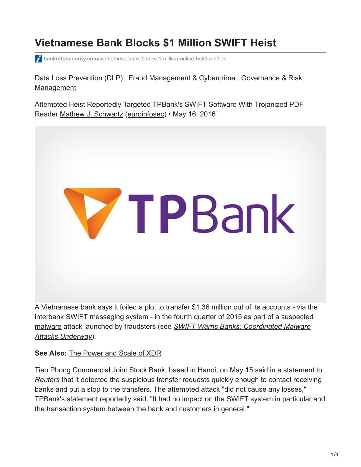# **Vietnamese Bank Blocks \$1 Million SWIFT Heist**

**bankinfosecurity.com**[/vietnamese-bank-blocks-1-million-online-heist-a-9105](https://www.bankinfosecurity.com/vietnamese-bank-blocks-1-million-online-heist-a-9105)

### [Data Loss Prevention \(DLP\)](https://www.bankinfosecurity.com/data-loss-prevention-dlp-c-461)[,](https://www.bankinfosecurity.com/governance-risk-management-c-93) [Fraud Management & Cybercrim](https://www.bankinfosecurity.com/fraud-management-cybercrime-c-409)[e](https://www.bankinfosecurity.com/governance-risk-management-c-93), Governance & Risk Management

Attempted Heist Reportedly Targeted TPBank's SWIFT Software With Trojanized PDF Reader [Mathew J. Schwartz](https://www.bankinfosecurity.com/authors/mathew-j-schwartz-i-892) [\(euroinfosec](https://www.twitter.com/euroinfosec)) • May 16, 2016



A Vietnamese bank says it foiled a plot to transfer \$1.36 million out of its accounts - via the interbank SWIFT messaging system - in the fourth quarter of 2015 as part of a suspected [malware attack launched by fraudsters \(see](https://www.databreachtoday.com/swift-warns-banks-coordinated-malware-attacks-underway-a-9101) *SWIFT Warns Banks: Coordinated Malware Attacks Underway*).

#### **See Also:** [The Power and Scale of XDR](https://www.bankinfosecurity.com/power-scale-xdr-a-18876)

Tien Phong Commercial Joint Stock Bank, based in Hanoi, on May 15 said in a statement to *[Reuters](https://www.theguardian.com/technology/2016/may/16/vietnamese-bank-foils-1m-cyber-heist)* that it detected the suspicious transfer requests quickly enough to contact receiving banks and put a stop to the transfers. The attempted attack "did not cause any losses," TPBank's statement reportedly said. "It had no impact on the SWIFT system in particular and the transaction system between the bank and customers in general."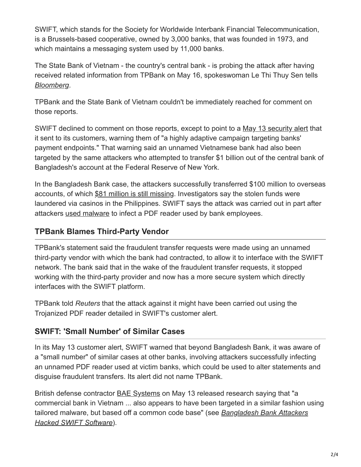SWIFT, which stands for the Society for Worldwide Interbank Financial Telecommunication, is a Brussels-based cooperative, owned by 3,000 banks, that was founded in 1973, and which maintains a messaging system used by 11,000 banks.

The State Bank of Vietnam - the country's central bank - is probing the attack after having received related information from TPBank on May 16, spokeswoman Le Thi Thuy Sen tells *[Bloomberg](http://www.bloomberg.com/news/articles/2016-05-16/vietnam-s-central-bank-probes-hacking-attempt-at-tien-phong-bank)*.

TPBank and the State Bank of Vietnam couldn't be immediately reached for comment on those reports.

SWIFT declined to comment on those reports, except to point to a [May 13 security alert](https://www.swift.com/insights/press-releases/swift-customer-communication_customer-security-issues) that it sent to its customers, warning them of "a highly adaptive campaign targeting banks' payment endpoints." That warning said an unnamed Vietnamese bank had also been targeted by the same attackers who attempted to transfer \$1 billion out of the central bank of Bangladesh's account at the Federal Reserve of New York.

In the Bangladesh Bank case, the attackers successfully transferred \$100 million to overseas accounts, of which [\\$81 million is still missing](https://www.databreachtoday.com/bangladesh-bank-hackers-steal-100-million-a-8958). Investigators say the stolen funds were laundered via casinos in the Philippines. SWIFT says the attack was carried out in part after attackers [used malware](https://www.databreachtoday.com/blogs/seeking-swift-malware-attack-antidote-p-2119) to infect a PDF reader used by bank employees.

# **TPBank Blames Third-Party Vendor**

TPBank's statement said the fraudulent transfer requests were made using an unnamed third-party vendor with which the bank had contracted, to allow it to interface with the SWIFT network. The bank said that in the wake of the fraudulent transfer requests, it stopped working with the third-party provider and now has a more secure system which directly interfaces with the SWIFT platform.

TPBank told *Reuters* that the attack against it might have been carried out using the Trojanized PDF reader detailed in SWIFT's customer alert.

# **SWIFT: 'Small Number' of Similar Cases**

In its May 13 customer alert, SWIFT warned that beyond Bangladesh Bank, it was aware of a "small number" of similar cases at other banks, involving attackers successfully infecting an unnamed PDF reader used at victim banks, which could be used to alter statements and disguise fraudulent transfers. Its alert did not name TPBank.

British defense contractor [BAE Systems](http://baesystemsai.blogspot.co.uk/2016/05/cyber-heist-attribution.html) on May 13 released research saying that "a commercial bank in Vietnam ... also appears to have been targeted in a similar fashion using [tailored malware, but based off a common code base" \(see](https://www.databreachtoday.com/bangladesh-bank-attackers-hacked-swift-software-a-9061) *Bangladesh Bank Attackers Hacked SWIFT Software*).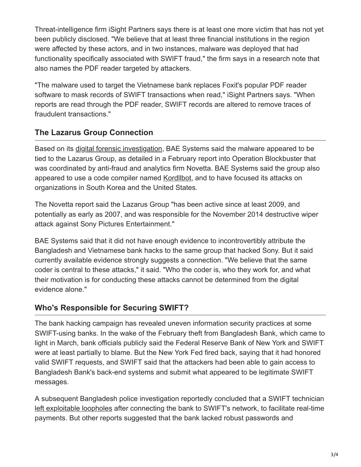Threat-intelligence firm iSight Partners says there is at least one more victim that has not yet been publicly disclosed. "We believe that at least three financial institutions in the region were affected by these actors, and in two instances, malware was deployed that had functionality specifically associated with SWIFT fraud," the firm says in a research note that also names the PDF reader targeted by attackers.

"The malware used to target the Vietnamese bank replaces Foxit's popular PDF reader software to mask records of SWIFT transactions when read," iSight Partners says. "When reports are read through the PDF reader, SWIFT records are altered to remove traces of fraudulent transactions."

# **The Lazarus Group Connection**

Based on its *digital forensic investigation*, BAE Systems said the malware appeared to be tied to the Lazarus Group, as detailed in a February report into Operation Blockbuster that was coordinated by anti-fraud and analytics firm Novetta. BAE Systems said the group also appeared to use a code compiler named [Kordllbot,](http://baesystemsai.blogspot.co.uk/2016/05/cyber-heist-attribution.html) and to have focused its attacks on organizations in South Korea and the United States.

The Novetta report said the Lazarus Group "has been active since at least 2009, and potentially as early as 2007, and was responsible for the November 2014 destructive wiper attack against Sony Pictures Entertainment."

BAE Systems said that it did not have enough evidence to incontrovertibly attribute the Bangladesh and Vietnamese bank hacks to the same group that hacked Sony. But it said currently available evidence strongly suggests a connection. "We believe that the same coder is central to these attacks," it said. "Who the coder is, who they work for, and what their motivation is for conducting these attacks cannot be determined from the digital evidence alone."

# **Who's Responsible for Securing SWIFT?**

The bank hacking campaign has revealed uneven information security practices at some SWIFT-using banks. In the wake of the February theft from Bangladesh Bank, which came to light in March, bank officials publicly said the Federal Reserve Bank of New York and SWIFT were at least partially to blame. But the New York Fed fired back, saying that it had honored valid SWIFT requests, and SWIFT said that the attackers had been able to gain access to Bangladesh Bank's back-end systems and submit what appeared to be legitimate SWIFT messages.

A subsequent Bangladesh police investigation reportedly concluded that a SWIFT technician [left exploitable loopholes](https://www.databreachtoday.com/swift-to-banks-get-your-security-act-together-a-9099) after connecting the bank to SWIFT's network, to facilitate real-time payments. But other reports suggested that the bank lacked robust passwords and